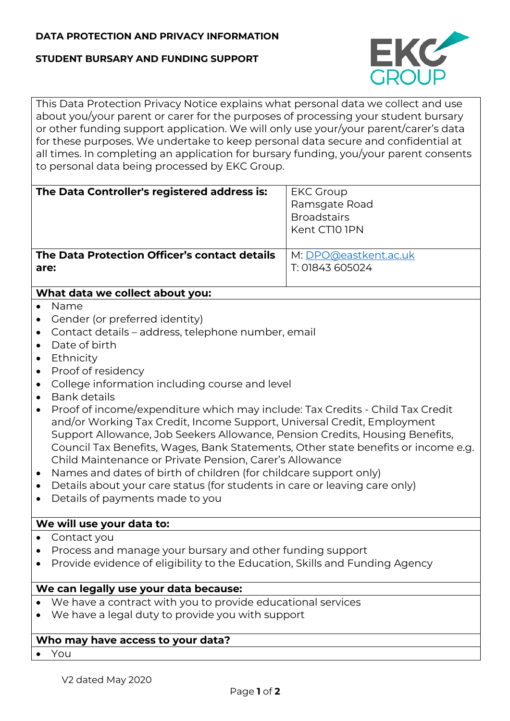# **DATA PROTECTION AND PRIVACY INFORMATION**

#### **STUDENT BURSARY AND FUNDING SUPPORT**



This Data Protection Privacy Notice explains what personal data we collect and use about you/your parent or carer for the purposes of processing your student bursary or other funding support application. We will only use your/your parent/carer's data for these purposes. We undertake to keep personal data secure and confidential at all times. In completing an application for bursary funding, you/your parent consents to personal data being processed by EKC Group.

| The Data Controller's registered address is:  | <b>EKC Group</b><br>Ramsgate Road<br><b>Broadstairs</b><br>Kent CTI0 IPN |
|-----------------------------------------------|--------------------------------------------------------------------------|
| The Data Protection Officer's contact details | M: DPO@eastkent.ac.uk                                                    |
| are:                                          | T: 01843 605024                                                          |

# **What data we collect about you:**

- Name
- Gender (or preferred identity)
- Contact details address, telephone number, email
- Date of birth
- Ethnicity
- Proof of residency
- College information including course and level
- Bank details
- Proof of income/expenditure which may include: Tax Credits Child Tax Credit and/or Working Tax Credit, Income Support, Universal Credit, Employment Support Allowance, Job Seekers Allowance, Pension Credits, Housing Benefits, Council Tax Benefits, Wages, Bank Statements, Other state benefits or income e.g. Child Maintenance or Private Pension, Carer's Allowance
- Names and dates of birth of children (for childcare support only)
- Details about your care status (for students in care or leaving care only)
- Details of payments made to you

# **We will use your data to:**

- Contact you
- Process and manage your bursary and other funding support
- Provide evidence of eligibility to the Education, Skills and Funding Agency

#### **We can legally use your data because:**

- We have a contract with you to provide educational services
- We have a legal duty to provide you with support

# **Who may have access to your data?**

• You